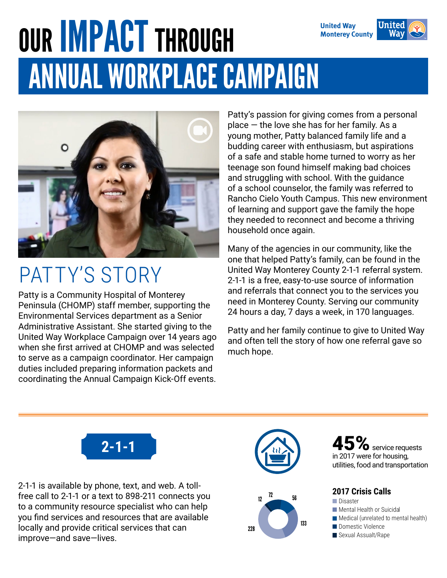#### ANNUAL WORKPLACE CAMPAIGN OUR **IMPACT** THROUGH **United Way Monterey County**



#### PATTY'S STORY

Patty is a Community Hospital of Monterey Peninsula (CHOMP) staff member, supporting the Environmental Services department as a Senior Administrative Assistant. She started giving to the United Way Workplace Campaign over 14 years ago when she first arrived at CHOMP and was selected to serve as a campaign coordinator. Her campaign duties included preparing information packets and coordinating the Annual Campaign Kick-Off events.

Patty's passion for giving comes from a personal place — the love she has for her family. As a young mother, Patty balanced family life and a budding career with enthusiasm, but aspirations of a safe and stable home turned to worry as her teenage son found himself making bad choices and struggling with school. With the guidance of a school counselor, the family was referred to Rancho Cielo Youth Campus. This new environment of learning and support gave the family the hope they needed to reconnect and become a thriving household once again.

Many of the agencies in our community, like the one that helped Patty's family, can be found in the United Way Monterey County 2-1-1 referral system. 2-1-1 is a free, easy-to-use source of information and referrals that connect you to the services you need in Monterey County. Serving our community 24 hours a day, 7 days a week, in 170 languages.

Patty and her family continue to give to United Way and often tell the story of how one referral gave so much hope.



2-1-1 is available by phone, text, and web. A tollfree call to 2-1-1 or a text to 898-211 connects you to a community resource specialist who can help you find services and resources that are available locally and provide critical services that can improve—and save—lives.



 $\mathcal{V}_0$  service requests in 2017 were for housing, utilities, food and transportation

#### **2017 Crisis Calls**

- **Disaster**
- **Mental Health or Suicidal**
- $\blacksquare$  Medical (unrelated to mental health)
- Domestic Violence
- Sexual Assualt/Rape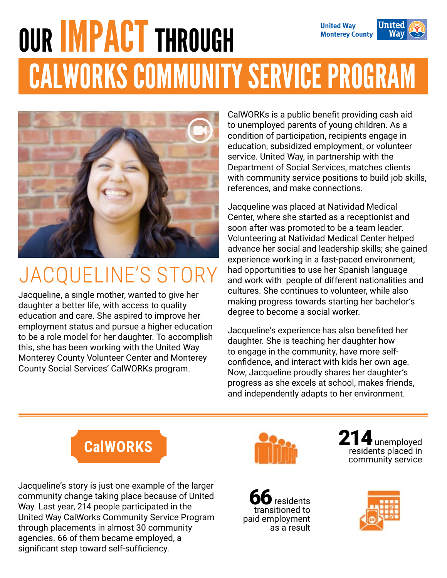#### our IMPACT through United **United Way Monterey County** CALWORKS COMMUNITY SERVICE PROGRAM



## JACQUELINE'S STORY

Jacqueline, a single mother, wanted to give her daughter a better life, with access to quality education and care. She aspired to improve her employment status and pursue a higher education to be a role model for her daughter. To accomplish this, she has been working with the United Way Monterey County Volunteer Center and Monterey County Social Services' CalWORKs program.

CalWORKs is a public benefit providing cash aid to unemployed parents of young children. As a condition of participation, recipients engage in education, subsidized employment, or volunteer service. United Way, in partnership with the Department of Social Services, matches clients with community service positions to build job skills, references, and make connections.

Jacqueline was placed at Natividad Medical Center, where she started as a receptionist and soon after was promoted to be a team leader. Volunteering at Natividad Medical Center helped advance her social and leadership skills; she gained experience working in a fast-paced environment, had opportunities to use her Spanish language and work with people of different nationalities and cultures. She continues to volunteer, while also making progress towards starting her bachelor's degree to become a social worker.

Jacqueline's experience has also benefited her daughter. She is teaching her daughter how to engage in the community, have more selfconfidence, and interact with kids her own age. Now, Jacqueline proudly shares her daughter's progress as she excels at school, makes friends, and independently adapts to her environment.



Jacqueline's story is just one example of the larger community change taking place because of United Way. Last year, 214 people participated in the United Way CalWorks Community Service Program through placements in almost 30 community agencies. 66 of them became employed, a significant step toward self-sufficiency.



214 unemployed residents placed in community service



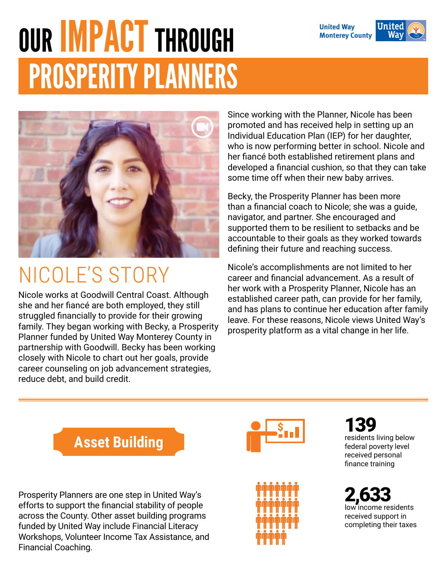# PROSPERITY PLANNERS our IMPACT through



### NICOLE'S STORY

Nicole works at Goodwill Central Coast. Although she and her fiancé are both employed, they still struggled financially to provide for their growing family. They began working with Becky, a Prosperity Planner funded by United Way Monterey County in partnership with Goodwill. Becky has been working closely with Nicole to chart out her goals, provide career counseling on job advancement strategies, reduce debt, and build credit.

Since working with the Planner, Nicole has been promoted and has received help in setting up an Individual Education Plan (IEP) for her daughter, who is now performing better in school. Nicole and her fiancé both established retirement plans and developed a financial cushion, so that they can take some time off when their new baby arrives.

Becky, the Prosperity Planner has been more than a financial coach to Nicole; she was a guide, navigator, and partner. She encouraged and supported them to be resilient to setbacks and be accountable to their goals as they worked towards defining their future and reaching success.

Nicole's accomplishments are not limited to her career and financial advancement. As a result of her work with a Prosperity Planner, Nicole has an established career path, can provide for her family, and has plans to continue her education after family leave. For these reasons, Nicole views United Way's prosperity platform as a vital change in her life.



Prosperity Planners are one step in United Way's efforts to support the financial stability of people across the County. Other asset building programs funded by United Way include Financial Literacy Workshops, Volunteer Income Tax Assistance, and Financial Coaching.





139 residents living below federal poverty level received personal finance training

2,63 low income residents received support in completing their taxes